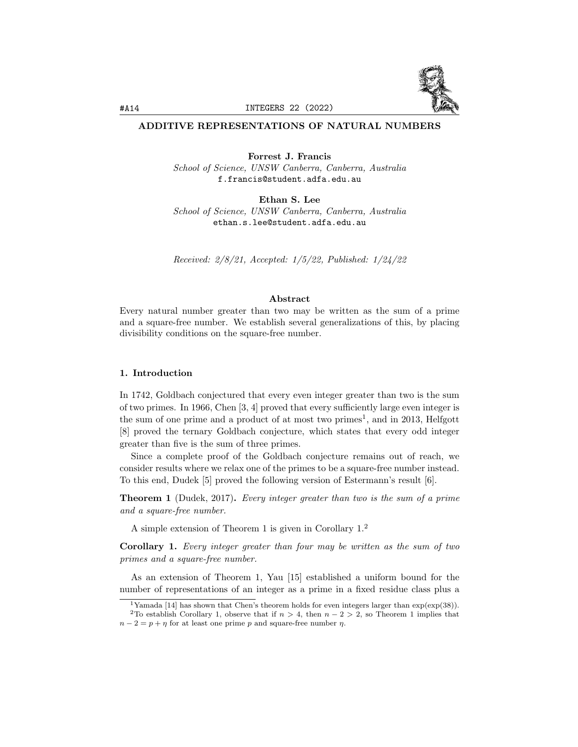

# ADDITIVE REPRESENTATIONS OF NATURAL NUMBERS

Forrest J. Francis School of Science, UNSW Canberra, Canberra, Australia f.francis@student.adfa.edu.au

Ethan S. Lee School of Science, UNSW Canberra, Canberra, Australia ethan.s.lee@student.adfa.edu.au

Received: 2/8/21, Accepted: 1/5/22, Published: 1/24/22

## Abstract

Every natural number greater than two may be written as the sum of a prime and a square-free number. We establish several generalizations of this, by placing divisibility conditions on the square-free number.

# 1. Introduction

In 1742, Goldbach conjectured that every even integer greater than two is the sum of two primes. In 1966, Chen [3, 4] proved that every sufficiently large even integer is the sum of one prime and a product of at most two primes<sup>1</sup>, and in 2013, Helfgott [8] proved the ternary Goldbach conjecture, which states that every odd integer greater than five is the sum of three primes.

Since a complete proof of the Goldbach conjecture remains out of reach, we consider results where we relax one of the primes to be a square-free number instead. To this end, Dudek [5] proved the following version of Estermann's result [6].

Theorem 1 (Dudek, 2017). Every integer greater than two is the sum of a prime and a square-free number.

A simple extension of Theorem 1 is given in Corollary 1.<sup>2</sup>

Corollary 1. Every integer greater than four may be written as the sum of two primes and a square-free number.

As an extension of Theorem 1, Yau [15] established a uniform bound for the number of representations of an integer as a prime in a fixed residue class plus a

<sup>&</sup>lt;sup>1</sup>Yamada [14] has shown that Chen's theorem holds for even integers larger than  $\exp(\exp(38))$ . <sup>2</sup>To establish Corollary 1, observe that if  $n > 4$ , then  $n - 2 > 2$ , so Theorem 1 implies that

 $n-2 = p + \eta$  for at least one prime p and square-free number  $\eta$ .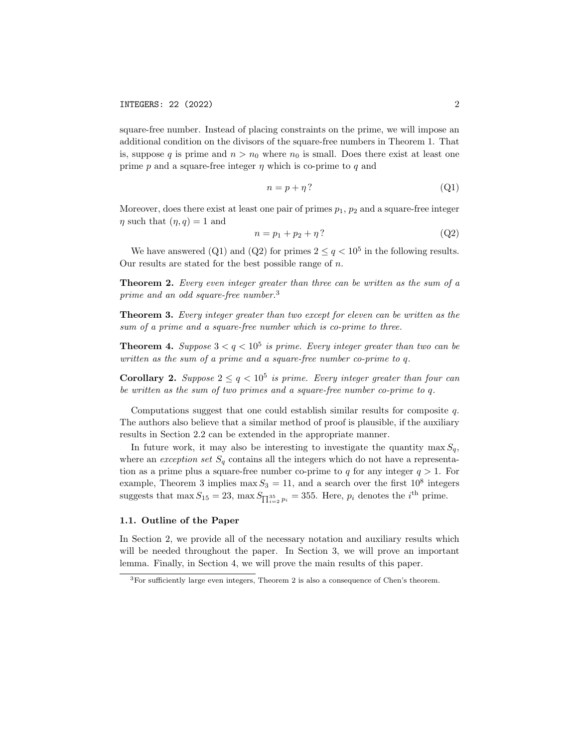square-free number. Instead of placing constraints on the prime, we will impose an additional condition on the divisors of the square-free numbers in Theorem 1. That is, suppose q is prime and  $n > n_0$  where  $n_0$  is small. Does there exist at least one prime  $p$  and a square-free integer  $\eta$  which is co-prime to  $q$  and

$$
n = p + \eta \tag{Q1}
$$

Moreover, does there exist at least one pair of primes  $p_1$ ,  $p_2$  and a square-free integer  $\eta$  such that  $(\eta, q) = 1$  and

$$
n = p_1 + p_2 + \eta \tag{Q2}
$$

We have answered (Q1) and (Q2) for primes  $2 \le q < 10^5$  in the following results. Our results are stated for the best possible range of  $n$ .

**Theorem 2.** Every even integer greater than three can be written as the sum of a prime and an odd square-free number.<sup>3</sup>

Theorem 3. Every integer greater than two except for eleven can be written as the sum of a prime and a square-free number which is co-prime to three.

**Theorem 4.** Suppose  $3 < q < 10^5$  is prime. Every integer greater than two can be written as the sum of a prime and a square-free number co-prime to q.

**Corollary 2.** Suppose  $2 \leq q < 10^5$  is prime. Every integer greater than four can be written as the sum of two primes and a square-free number co-prime to q.

Computations suggest that one could establish similar results for composite q. The authors also believe that a similar method of proof is plausible, if the auxiliary results in Section 2.2 can be extended in the appropriate manner.

In future work, it may also be interesting to investigate the quantity max  $S_q$ , where an *exception set*  $S_q$  contains all the integers which do not have a representation as a prime plus a square-free number co-prime to q for any integer  $q > 1$ . For example, Theorem 3 implies max  $S_3 = 11$ , and a search over the first  $10^8$  integers suggests that  $\max S_{15} = 23$ ,  $\max S_{\prod_{i=2}^{35} p_i} = 355$ . Here,  $p_i$  denotes the *i*<sup>th</sup> prime.

## 1.1. Outline of the Paper

In Section 2, we provide all of the necessary notation and auxiliary results which will be needed throughout the paper. In Section 3, we will prove an important lemma. Finally, in Section 4, we will prove the main results of this paper.

<sup>3</sup>For sufficiently large even integers, Theorem 2 is also a consequence of Chen's theorem.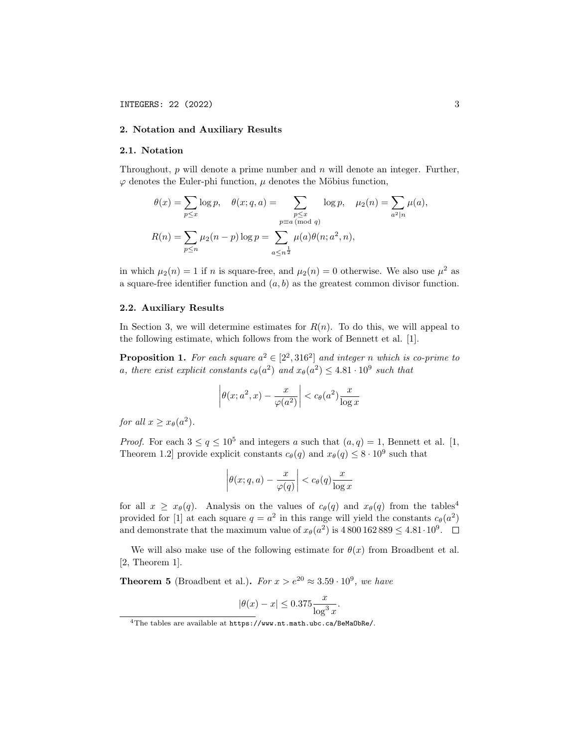## 2. Notation and Auxiliary Results

# 2.1. Notation

Throughout,  $p$  will denote a prime number and  $n$  will denote an integer. Further,  $\varphi$  denotes the Euler-phi function,  $\mu$  denotes the Möbius function,

$$
\theta(x) = \sum_{p \le x} \log p, \quad \theta(x; q, a) = \sum_{\substack{p \le x \\ p \equiv a \pmod{q}}} \log p, \quad \mu_2(n) = \sum_{a^2 | n} \mu(a),
$$

$$
R(n) = \sum_{p \le n} \mu_2(n-p) \log p = \sum_{a \le n^{\frac{1}{2}}} \mu(a) \theta(n; a^2, n),
$$

in which  $\mu_2(n) = 1$  if n is square-free, and  $\mu_2(n) = 0$  otherwise. We also use  $\mu^2$  as a square-free identifier function and  $(a, b)$  as the greatest common divisor function.

#### 2.2. Auxiliary Results

In Section 3, we will determine estimates for  $R(n)$ . To do this, we will appeal to the following estimate, which follows from the work of Bennett et al. [1].

**Proposition 1.** For each square  $a^2 \in [2^2, 316^2]$  and integer n which is co-prime to a, there exist explicit constants  $c_{\theta}(a^2)$  and  $x_{\theta}(a^2) \leq 4.81 \cdot 10^9$  such that

$$
\left| \theta(x; a^2, x) - \frac{x}{\varphi(a^2)} \right| < c_\theta(a^2) \frac{x}{\log x}
$$

for all  $x \geq x_{\theta}(a^2)$ .

*Proof.* For each  $3 \le q \le 10^5$  and integers a such that  $(a, q) = 1$ , Bennett et al. [1, Theorem 1.2] provide explicit constants  $c_{\theta}(q)$  and  $x_{\theta}(q) \leq 8 \cdot 10^9$  such that

$$
\left|\theta(x;q,a)-\frac{x}{\varphi(q)}\right| < c_{\theta}(q)\frac{x}{\log x}
$$

for all  $x \ge x_{\theta}(q)$ . Analysis on the values of  $c_{\theta}(q)$  and  $x_{\theta}(q)$  from the tables<sup>4</sup> provided for [1] at each square  $q = a^2$  in this range will yield the constants  $c_{\theta}(a^2)$ and demonstrate that the maximum value of  $x_{\theta}(a^2)$  is  $4800162889 \leq 4.81 \cdot 10^9$ .

We will also make use of the following estimate for  $\theta(x)$  from Broadbent et al. [2, Theorem 1].

**Theorem 5** (Broadbent et al.). For  $x > e^{20} \approx 3.59 \cdot 10^9$ , we have

$$
|\theta(x) - x| \le 0.375 \frac{x}{\log^3 x}.
$$

<sup>4</sup>The tables are available at https://www.nt.math.ubc.ca/BeMaObRe/.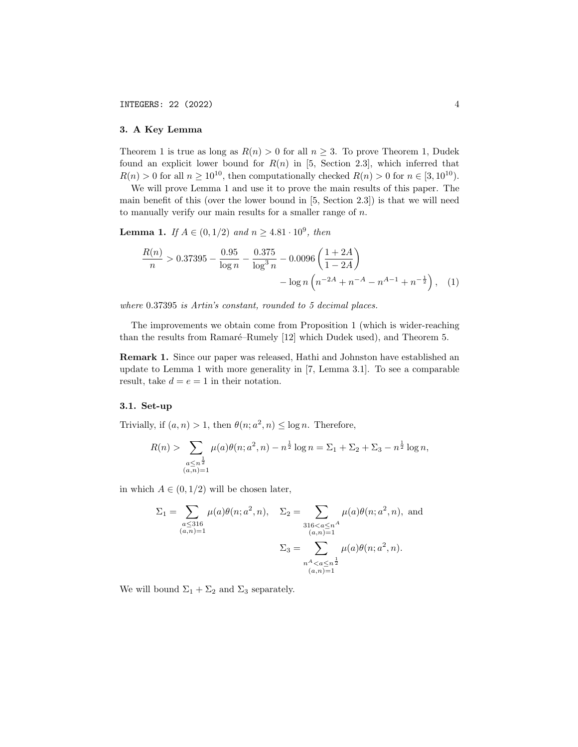# 3. A Key Lemma

Theorem 1 is true as long as  $R(n) > 0$  for all  $n \geq 3$ . To prove Theorem 1, Dudek found an explicit lower bound for  $R(n)$  in [5, Section 2.3], which inferred that  $R(n) > 0$  for all  $n \ge 10^{10}$ , then computationally checked  $R(n) > 0$  for  $n \in [3, 10^{10})$ .

We will prove Lemma 1 and use it to prove the main results of this paper. The main benefit of this (over the lower bound in  $[5,$  Section 2.3) is that we will need to manually verify our main results for a smaller range of  $n$ .

**Lemma 1.** If  $A \in (0, 1/2)$  and  $n \ge 4.81 \cdot 10^9$ , then

$$
\frac{R(n)}{n} > 0.37395 - \frac{0.95}{\log n} - \frac{0.375}{\log^3 n} - 0.0096 \left( \frac{1+2A}{1-2A} \right) - \log n \left( n^{-2A} + n^{-A} - n^{A-1} + n^{-\frac{1}{2}} \right), \quad (1)
$$

where 0.37395 is Artin's constant, rounded to 5 decimal places.

The improvements we obtain come from Proposition 1 (which is wider-reaching than the results from Ramaré–Rumely [12] which Dudek used), and Theorem 5.

Remark 1. Since our paper was released, Hathi and Johnston have established an update to Lemma 1 with more generality in [7, Lemma 3.1]. To see a comparable result, take  $d = e = 1$  in their notation.

## 3.1. Set-up

Trivially, if  $(a, n) > 1$ , then  $\theta(n; a^2, n) \leq \log n$ . Therefore,

$$
R(n) > \sum_{\substack{a \le n^{\frac{1}{2}} \\ (a,n)=1}} \mu(a)\theta(n; a^2, n) - n^{\frac{1}{2}} \log n = \Sigma_1 + \Sigma_2 + \Sigma_3 - n^{\frac{1}{2}} \log n,
$$

in which  $A \in (0, 1/2)$  will be chosen later,

$$
\Sigma_1 = \sum_{\substack{a \le 316 \\ (a,n)=1}} \mu(a)\theta(n; a^2, n), \quad \Sigma_2 = \sum_{\substack{316 < a \le n^A \\ (a,n)=1}} \mu(a)\theta(n; a^2, n), \text{ and}
$$
\n
$$
\Sigma_3 = \sum_{\substack{n^A < a \le n^{\frac{1}{2}} \\ (a,n)=1}} \mu(a)\theta(n; a^2, n).
$$

We will bound  $\Sigma_1 + \Sigma_2$  and  $\Sigma_3$  separately.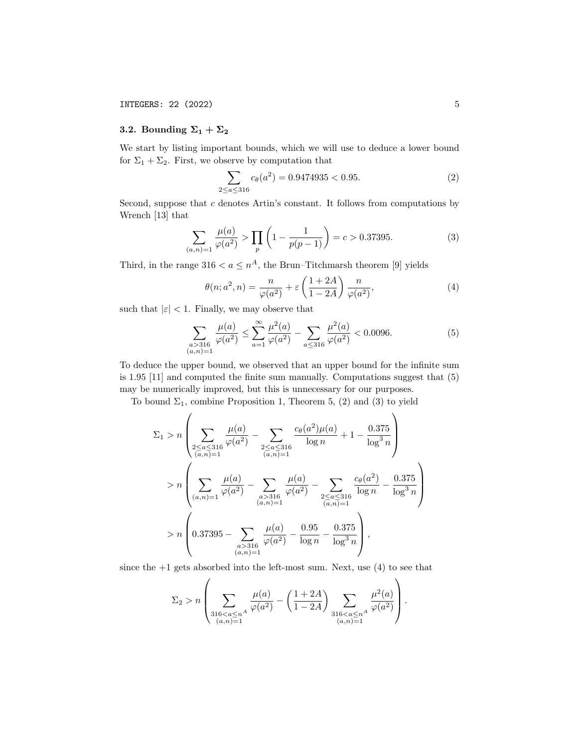# 3.2. Bounding  $\Sigma_1 + \Sigma_2$

We start by listing important bounds, which we will use to deduce a lower bound for  $\Sigma_1 + \Sigma_2$ . First, we observe by computation that

$$
\sum_{2 \le a \le 316} c_{\theta}(a^2) = 0.9474935 < 0.95. \tag{2}
$$

Second, suppose that  $c$  denotes Artin's constant. It follows from computations by Wrench [13] that

$$
\sum_{(a,n)=1} \frac{\mu(a)}{\varphi(a^2)} > \prod_p \left(1 - \frac{1}{p(p-1)}\right) = c > 0.37395.
$$
 (3)

Third, in the range  $316 < a \leq n^A$ , the Brun–Titchmarsh theorem [9] yields

$$
\theta(n; a^2, n) = \frac{n}{\varphi(a^2)} + \varepsilon \left(\frac{1+2A}{1-2A}\right) \frac{n}{\varphi(a^2)},\tag{4}
$$

such that  $|\varepsilon|$  < 1. Finally, we may observe that

$$
\sum_{\substack{a>316\\(a,n)=1}}\frac{\mu(a)}{\varphi(a^2)} \le \sum_{a=1}^{\infty} \frac{\mu^2(a)}{\varphi(a^2)} - \sum_{a\le 316} \frac{\mu^2(a)}{\varphi(a^2)} < 0.0096.
$$
 (5)

To deduce the upper bound, we observed that an upper bound for the infinite sum is 1.95 [11] and computed the finite sum manually. Computations suggest that (5) may be numerically improved, but this is unnecessary for our purposes.

To bound  $\Sigma_1$ , combine Proposition 1, Theorem 5, (2) and (3) to yield

$$
\Sigma_{1} > n \left( \sum_{\substack{2 \leq a \leq 316 \\ (a,n)=1}} \frac{\mu(a)}{\varphi(a^{2})} - \sum_{\substack{2 \leq a \leq 316 \\ (a,n)=1}} \frac{c_{\theta}(a^{2})\mu(a)}{\log n} + 1 - \frac{0.375}{\log^{3} n} \right)
$$
  
> 
$$
n \left( \sum_{(a,n)=1} \frac{\mu(a)}{\varphi(a^{2})} - \sum_{\substack{a > 316 \\ (a,n)=1}} \frac{\mu(a)}{\varphi(a^{2})} - \sum_{\substack{2 \leq a \leq 316 \\ (a,n)=1}} \frac{c_{\theta}(a^{2})}{\log n} - \frac{0.375}{\log^{3} n} \right)
$$
  
> 
$$
n \left( 0.37395 - \sum_{\substack{a > 316 \\ (a,n)=1}} \frac{\mu(a)}{\varphi(a^{2})} - \frac{0.95}{\log n} - \frac{0.375}{\log^{3} n} \right),
$$

since the  $+1$  gets absorbed into the left-most sum. Next, use  $(4)$  to see that

$$
\Sigma_2 > n \left( \sum_{\substack{316 < a \le n^A \\ (a,n)=1}} \frac{\mu(a)}{\varphi(a^2)} - \left( \frac{1+2A}{1-2A} \right) \sum_{\substack{316 < a \le n^A \\ (a,n)=1}} \frac{\mu^2(a)}{\varphi(a^2)} \right).
$$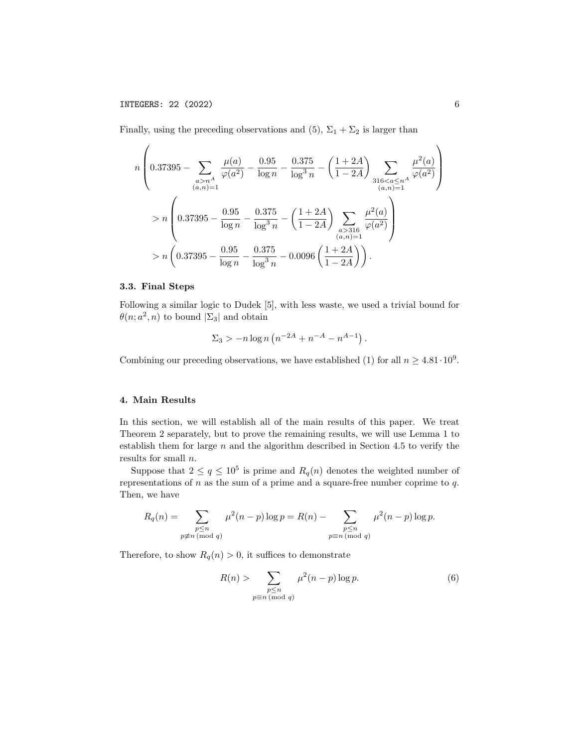Finally, using the preceding observations and (5),  $\Sigma_1 + \Sigma_2$  is larger than

$$
n\left(0.37395 - \sum_{\substack{a>n \ a>1}} \frac{\mu(a)}{\varphi(a^2)} - \frac{0.95}{\log n} - \frac{0.375}{\log^3 n} - \left(\frac{1+2A}{1-2A}\right) \sum_{\substack{316 < a \le n^A \\ (a,n)=1}} \frac{\mu^2(a)}{\varphi(a^2)}\right)
$$
  
> 
$$
n\left(0.37395 - \frac{0.95}{\log n} - \frac{0.375}{\log^3 n} - \left(\frac{1+2A}{1-2A}\right) \sum_{\substack{a>316 \\ (a,n)=1}} \frac{\mu^2(a)}{\varphi(a^2)}\right)
$$
  
> 
$$
n\left(0.37395 - \frac{0.95}{\log n} - \frac{0.375}{\log^3 n} - 0.0096\left(\frac{1+2A}{1-2A}\right)\right).
$$

# 3.3. Final Steps

Following a similar logic to Dudek [5], with less waste, we used a trivial bound for  $\theta(n; a^2, n)$  to bound  $|\Sigma_3|$  and obtain

$$
\Sigma_3 > -n \log n \left( n^{-2A} + n^{-A} - n^{A-1} \right).
$$

Combining our preceding observations, we have established (1) for all  $n \geq 4.81 \cdot 10^9$ .

### 4. Main Results

In this section, we will establish all of the main results of this paper. We treat Theorem 2 separately, but to prove the remaining results, we will use Lemma 1 to establish them for large  $n$  and the algorithm described in Section 4.5 to verify the results for small n.

Suppose that  $2 \le q \le 10^5$  is prime and  $R_q(n)$  denotes the weighted number of representations of  $n$  as the sum of a prime and a square-free number coprime to  $q$ . Then, we have

$$
R_q(n) = \sum_{\substack{p \le n \\ p \not\equiv n \pmod{q}}} \mu^2(n-p) \log p = R(n) - \sum_{\substack{p \le n \\ p \equiv n \pmod{q}}} \mu^2(n-p) \log p.
$$

Therefore, to show  $R_q(n) > 0$ , it suffices to demonstrate

$$
R(n) > \sum_{\substack{p \le n \\ p \equiv n \pmod{q}}} \mu^2(n-p) \log p. \tag{6}
$$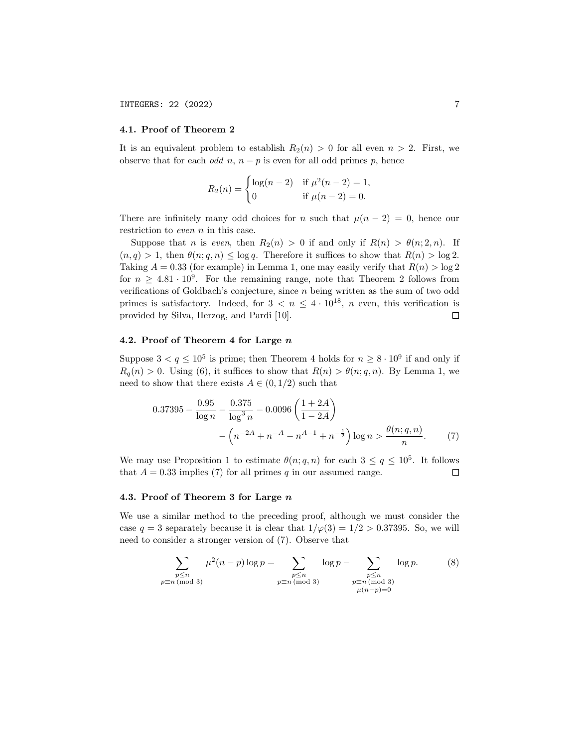# 4.1. Proof of Theorem 2

It is an equivalent problem to establish  $R_2(n) > 0$  for all even  $n > 2$ . First, we observe that for each *odd*  $n, n - p$  is even for all odd primes p, hence

$$
R_2(n) = \begin{cases} \log(n-2) & \text{if } \mu^2(n-2) = 1, \\ 0 & \text{if } \mu(n-2) = 0. \end{cases}
$$

There are infinitely many odd choices for n such that  $\mu(n-2) = 0$ , hence our restriction to even n in this case.

Suppose that n is even, then  $R_2(n) > 0$  if and only if  $R(n) > \theta(n; 2, n)$ . If  $(n, q) > 1$ , then  $\theta(n; q, n) \leq \log q$ . Therefore it suffices to show that  $R(n) > \log 2$ . Taking  $A = 0.33$  (for example) in Lemma 1, one may easily verify that  $R(n) > \log 2$ for  $n \geq 4.81 \cdot 10^9$ . For the remaining range, note that Theorem 2 follows from verifications of Goldbach's conjecture, since  $n$  being written as the sum of two odd primes is satisfactory. Indeed, for  $3 < n \leq 4 \cdot 10^{18}$ , *n* even, this verification is provided by Silva, Herzog, and Pardi [10].  $\Box$ 

#### 4.2. Proof of Theorem 4 for Large n

Suppose  $3 < q \leq 10^5$  is prime; then Theorem 4 holds for  $n \geq 8 \cdot 10^9$  if and only if  $R_q(n) > 0$ . Using (6), it suffices to show that  $R(n) > \theta(n; q, n)$ . By Lemma 1, we need to show that there exists  $A \in (0, 1/2)$  such that

$$
0.37395 - \frac{0.95}{\log n} - \frac{0.375}{\log^3 n} - 0.0096 \left( \frac{1+2A}{1-2A} \right) - \left( n^{-2A} + n^{-A} - n^{A-1} + n^{-\frac{1}{2}} \right) \log n > \frac{\theta(n;q,n)}{n}.
$$
 (7)

We may use Proposition 1 to estimate  $\theta(n; q, n)$  for each  $3 \leq q \leq 10^5$ . It follows that  $A = 0.33$  implies (7) for all primes q in our assumed range.  $\Box$ 

## 4.3. Proof of Theorem 3 for Large n

We use a similar method to the preceding proof, although we must consider the case  $q = 3$  separately because it is clear that  $1/\varphi(3) = 1/2 > 0.37395$ . So, we will need to consider a stronger version of (7). Observe that

$$
\sum_{\substack{p \le n \\ p \equiv n \pmod{3}}} \mu^2(n-p) \log p = \sum_{\substack{p \le n \\ p \equiv n \pmod{3}}} \log p - \sum_{\substack{p \le n \\ p \equiv n \pmod{3}}} \log p. \tag{8}
$$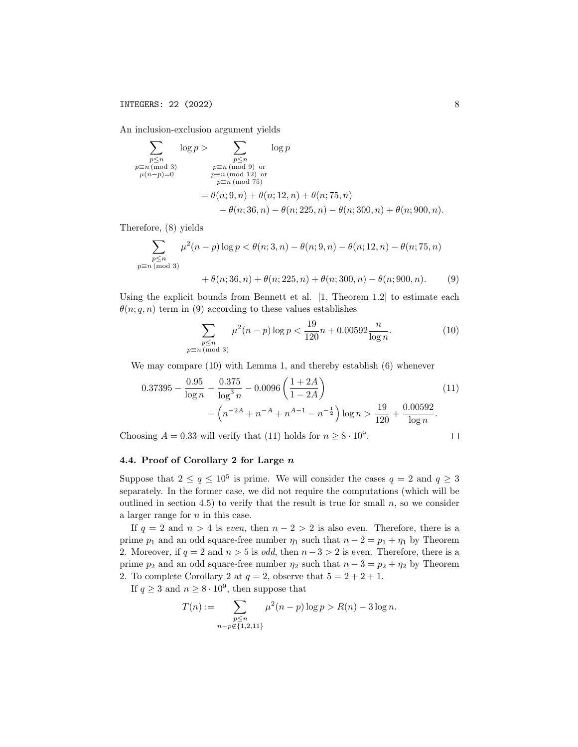An inclusion-exclusion argument yields

$$
\sum_{\substack{p\leq n \ p\equiv n \pmod{3} \\ \mu(n-p)=0}} \log p > \sum_{\substack{p\leq n \ p\equiv n \pmod{3} \\ \mu(n-p)=0}} \log p
$$
\n
$$
= \sum_{\substack{p\equiv n \pmod{75} \\ \mu(n,p)=0}} \log p
$$
\n
$$
= \theta(n; 9, n) + \theta(n; 12, n) + \theta(n; 75, n)
$$
\n
$$
- \theta(n; 36, n) - \theta(n; 225, n) - \theta(n; 300, n) + \theta(n; 900, n).
$$

Therefore, (8) yields

$$
\sum_{\substack{p \le n \\ p \equiv n \pmod{3}}} \mu^2(n-p) \log p < \theta(n; 3, n) - \theta(n; 9, n) - \theta(n; 12, n) - \theta(n; 75, n)
$$

+  $\theta(n; 36, n) + \theta(n; 225, n) + \theta(n; 300, n) - \theta(n; 900, n).$  (9)

Using the explicit bounds from Bennett et al. [1, Theorem 1.2] to estimate each  $\theta(n; q, n)$  term in (9) according to these values establishes

$$
\sum_{\substack{p \le n \\ p \equiv n \pmod{3}}} \mu^2(n-p) \log p < \frac{19}{120}n + 0.00592 \frac{n}{\log n}.\tag{10}
$$

We may compare (10) with Lemma 1, and thereby establish (6) whenever

$$
0.37395 - \frac{0.95}{\log n} - \frac{0.375}{\log^3 n} - 0.0096 \left( \frac{1 + 2A}{1 - 2A} \right) - \left( n^{-2A} + n^{-A} + n^{A-1} - n^{-\frac{1}{2}} \right) \log n > \frac{19}{120} + \frac{0.00592}{\log n}.
$$
 (11)

Choosing  $A = 0.33$  will verify that (11) holds for  $n \geq 8 \cdot 10^9$ .

$$
\sqcup
$$

## 4.4. Proof of Corollary 2 for Large n

Suppose that  $2 \le q \le 10^5$  is prime. We will consider the cases  $q = 2$  and  $q \ge 3$ separately. In the former case, we did not require the computations (which will be outlined in section 4.5) to verify that the result is true for small  $n$ , so we consider a larger range for  $n$  in this case.

If  $q = 2$  and  $n > 4$  is even, then  $n - 2 > 2$  is also even. Therefore, there is a prime  $p_1$  and an odd square-free number  $\eta_1$  such that  $n - 2 = p_1 + \eta_1$  by Theorem 2. Moreover, if  $q = 2$  and  $n > 5$  is *odd*, then  $n - 3 > 2$  is even. Therefore, there is a prime  $p_2$  and an odd square-free number  $\eta_2$  such that  $n-3 = p_2 + \eta_2$  by Theorem 2. To complete Corollary 2 at  $q = 2$ , observe that  $5 = 2 + 2 + 1$ .

If  $q \geq 3$  and  $n \geq 8 \cdot 10^9$ , then suppose that

$$
T(n) := \sum_{\substack{p \le n \\ n - p \notin \{1, 2, 11\}}} \mu^2(n - p) \log p > R(n) - 3 \log n.
$$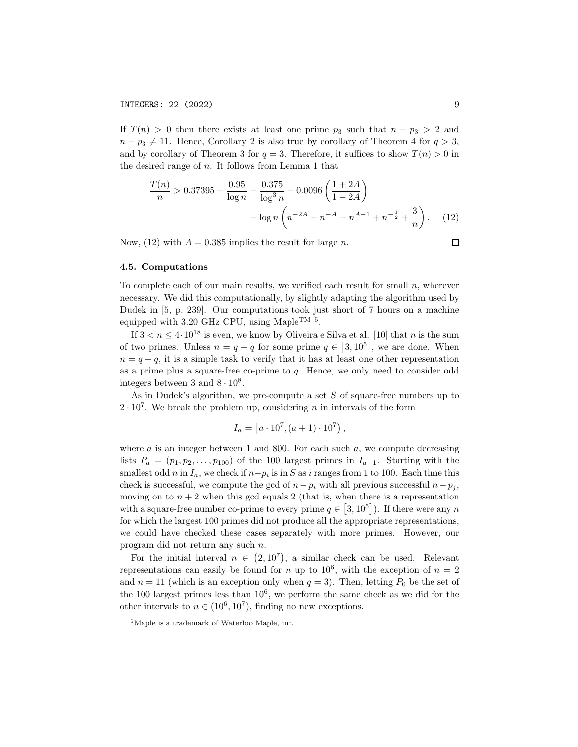If  $T(n) > 0$  then there exists at least one prime  $p_3$  such that  $n - p_3 > 2$  and  $n - p_3 \neq 11$ . Hence, Corollary 2 is also true by corollary of Theorem 4 for  $q > 3$ , and by corollary of Theorem 3 for  $q = 3$ . Therefore, it suffices to show  $T(n) > 0$  in the desired range of  $n$ . It follows from Lemma 1 that

$$
\frac{T(n)}{n} > 0.37395 - \frac{0.95}{\log n} - \frac{0.375}{\log^3 n} - 0.0096 \left( \frac{1+2A}{1-2A} \right) - \log n \left( n^{-2A} + n^{-A} - n^{A-1} + n^{-\frac{1}{2}} + \frac{3}{n} \right). \tag{12}
$$

Now, (12) with  $A = 0.385$  implies the result for large n.

 $\Box$ 

# 4.5. Computations

To complete each of our main results, we verified each result for small  $n$ , wherever necessary. We did this computationally, by slightly adapting the algorithm used by Dudek in [5, p. 239]. Our computations took just short of 7 hours on a machine equipped with 3.20 GHz CPU, using Maple<sup>TM 5</sup>.

If  $3 < n \leq 4 \cdot 10^{18}$  is even, we know by Oliveira e Silva et al. [10] that n is the sum of two primes. Unless  $n = q + q$  for some prime  $q \in [3, 10^5]$ , we are done. When  $n = q + q$ , it is a simple task to verify that it has at least one other representation as a prime plus a square-free co-prime to  $q$ . Hence, we only need to consider odd integers between 3 and  $8 \cdot 10^8$ .

As in Dudek's algorithm, we pre-compute a set  $S$  of square-free numbers up to  $2 \cdot 10^7$ . We break the problem up, considering *n* in intervals of the form

$$
I_a = [a \cdot 10^7, (a+1) \cdot 10^7),
$$

where  $a$  is an integer between 1 and 800. For each such  $a$ , we compute decreasing lists  $P_a = (p_1, p_2, \ldots, p_{100})$  of the 100 largest primes in  $I_{a-1}$ . Starting with the smallest odd n in  $I_a$ , we check if  $n-p_i$  is in S as i ranges from 1 to 100. Each time this check is successful, we compute the gcd of  $n-p_i$  with all previous successful  $n-p_i$ , moving on to  $n + 2$  when this gcd equals 2 (that is, when there is a representation with a square-free number co-prime to every prime  $q \in [3, 10^5]$ ). If there were any n for which the largest 100 primes did not produce all the appropriate representations, we could have checked these cases separately with more primes. However, our program did not return any such n.

For the initial interval  $n \in (2, 10^7)$ , a similar check can be used. Relevant representations can easily be found for n up to  $10^6$ , with the exception of  $n = 2$ and  $n = 11$  (which is an exception only when  $q = 3$ ). Then, letting  $P_0$  be the set of the 100 largest primes less than  $10^6$ , we perform the same check as we did for the other intervals to  $n \in (10^6, 10^7)$ , finding no new exceptions.

<sup>5</sup>Maple is a trademark of Waterloo Maple, inc.